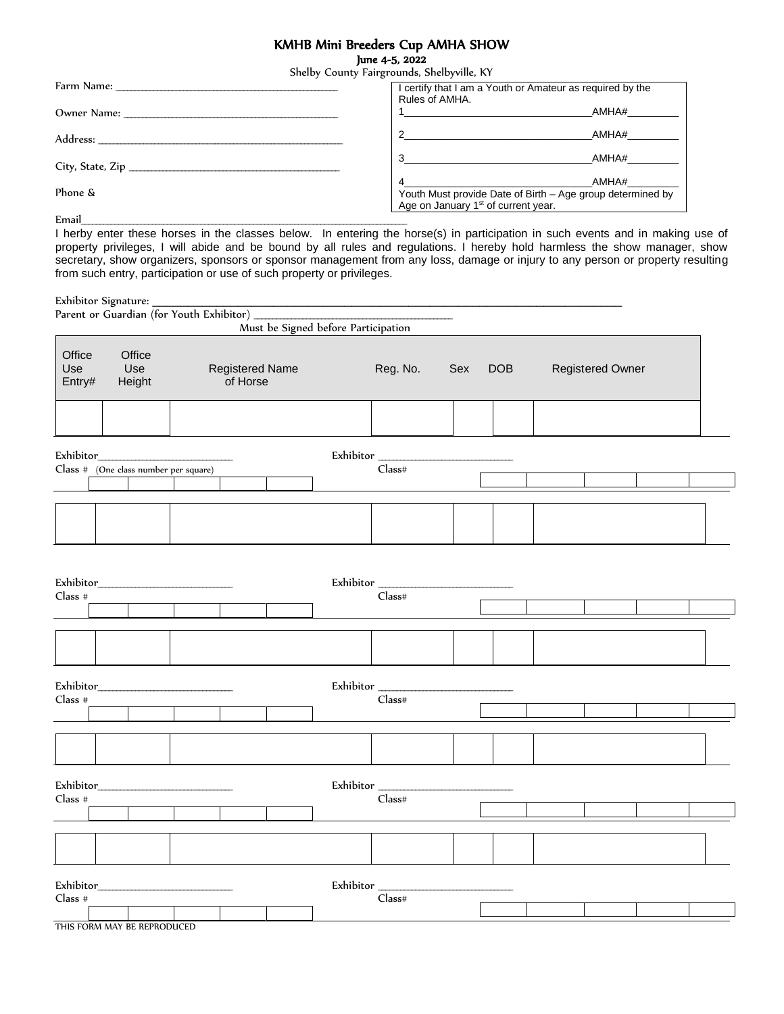### KMHB Mini Breeders Cup AMHA SHOW

June 4-5, 2022

|         | Shelby County Fairgrounds, Shelbyville, KY      |                                                            |  |
|---------|-------------------------------------------------|------------------------------------------------------------|--|
|         |                                                 | I certify that I am a Youth or Amateur as required by the  |  |
|         | Rules of AMHA.                                  |                                                            |  |
|         |                                                 | AMHA#                                                      |  |
|         | $\overline{\phantom{a}}$                        | AMHA#                                                      |  |
|         | $3 \left( \frac{1}{2} \right)$                  | AMHA#                                                      |  |
|         |                                                 |                                                            |  |
|         |                                                 | AMHA#                                                      |  |
| Phone & |                                                 | Youth Must provide Date of Birth - Age group determined by |  |
|         | Age on January 1 <sup>st</sup> of current year. |                                                            |  |
| Email   |                                                 |                                                            |  |

I herby enter these horses in the classes below. In entering the horse(s) in participation in such events and in making use of property privileges, I will abide and be bound by all rules and regulations. I hereby hold harmless the show manager, show secretary, show organizers, sponsors or sponsor management from any loss, damage or injury to any person or property resulting from such entry, participation or use of such property or privileges.

Exhibitor Signature: \_\_\_\_\_\_\_\_\_\_\_\_\_\_\_\_\_\_\_\_\_\_\_\_\_\_\_\_\_\_\_\_\_\_\_\_\_\_\_\_\_\_\_\_\_\_\_\_\_\_\_\_\_\_\_\_\_\_\_\_\_\_\_\_\_\_

| $L$ Amonor Jignature. $\overline{\phantom{0}}$ |                                       | Parent or Guardian (for Youth Exhibitor) _ |                                     |                     |     |            |                         |  |
|------------------------------------------------|---------------------------------------|--------------------------------------------|-------------------------------------|---------------------|-----|------------|-------------------------|--|
|                                                |                                       |                                            | Must be Signed before Participation |                     |     |            |                         |  |
| Office<br>Use<br>Entry#                        | Office<br>Use<br>Height               | <b>Registered Name</b><br>of Horse         |                                     | Reg. No.            | Sex | <b>DOB</b> | <b>Registered Owner</b> |  |
|                                                |                                       |                                            |                                     |                     |     |            |                         |  |
| Exhibitor_                                     | Class # (One class number per square) |                                            | Exhibitor_                          | $\textsf{Class}\#$  |     |            |                         |  |
|                                                |                                       |                                            |                                     |                     |     |            |                         |  |
|                                                |                                       |                                            |                                     |                     |     |            |                         |  |
| Exhibitor_<br>Class #                          |                                       |                                            |                                     | Exhibitor<br>Class# |     |            |                         |  |
|                                                |                                       |                                            |                                     |                     |     |            |                         |  |
|                                                |                                       |                                            |                                     |                     |     |            |                         |  |
|                                                |                                       |                                            |                                     | Exhibitor           |     |            |                         |  |
| $Class$ #                                      |                                       |                                            |                                     | Class#              |     |            |                         |  |
|                                                |                                       |                                            |                                     |                     |     |            |                         |  |
| $Class$ #                                      |                                       |                                            |                                     | Class#              |     |            |                         |  |
|                                                |                                       |                                            |                                     |                     |     |            |                         |  |
|                                                |                                       |                                            |                                     |                     |     |            |                         |  |
| Class #                                        |                                       |                                            |                                     | Exhibitor<br>Class# |     |            |                         |  |
|                                                |                                       |                                            |                                     |                     |     |            |                         |  |

THIS FORM MAY BE REPRODUCED